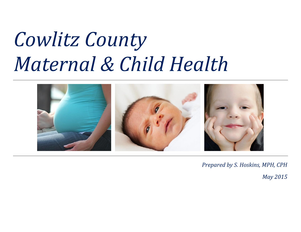# *Cowlitz County Maternal & Child Health*



*Prepared by S. Hoskins, MPH, CPH*

*May 2015*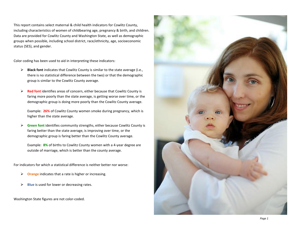This report contains select maternal & child health indicators for Cowlitz County, including characteristics of women of childbearing age, pregnancy & birth, and children. Data are provided for Cowlitz County and Washington State, as well as demographic groups when possible, including school district, race/ethnicity, age, socioeconomic status (SES), and gender.

Color coding has been used to aid in interpreting these indicators:

- ➢ **Black font** indicates that Cowlitz County is similar to the state average (i.e., there is no statistical difference between the two) or that the demographic group is similar to the Cowlitz County average.
- ➢ **Red font** identifies areas of concern, either because that Cowlitz County is faring more poorly than the state average, is getting worse over time, or the demographic group is doing more poorly than the Cowlitz County average.

Example: **26%** of Cowlitz County women smoke during pregnancy, which is higher than the state average.

➢ **Green font** identifies community strengths, either because Cowlitz County is faring better than the state average, is improving over time, or the demographic group is faring better than the Cowlitz County average.

Example: **8%** of births to Cowlitz County women with a 4-year degree are outside of marriage, which is better than the county average.

For indicators for which a statistical difference is neither better nor worse:

- ➢ **Orange** indicates that a rate is higher or increasing.
- ➢ **Blue** is used for lower or decreasing rates.

Washington State figures are not color-coded.

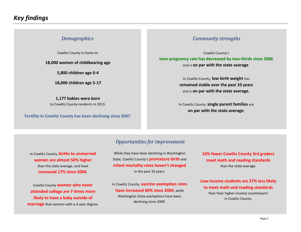#### *Demographics*

Cowlitz County is home to:

**18,000 women of childbearing age**

**5,800 children age 0-4**

**18,000 children age 5-17**

**1,177 babies were born** to Cowlitz County residents in 2013.

**Fertility in Cowlitz County has been declining since 2007**.

#### *Community strengths*

Cowlitz County's **teen pregnancy rate has decreased by two-thirds since 2006** and is **on par with the state average**.

> In Cowlitz County, **low birth weight** has **remained stable over the past 10 years** and is **on par with the state average.**

In Cowlitz County, **single parent families** are **on par with the state average**.

#### *Opportunities for improvement*

In Cowlitz County, **births to unmarried women are almost 50% higher** than the state average, and have **increased 17% since 2004**.

Cowlitz County **women who never attended college are 7 times more likely to have a baby outside of marriage** than women with a 4-year degree.

While they have been declining in Washington State, Cowlitz County's **premature birth** and **infant mortality rates haven't changed** in the past 10 years.

In Cowlitz County, **vaccine exemption rates have increased 60% since 2004**, while Washington State exemptions have been declining since 2009.

**10% fewer Cowlitz County 3rd graders meet math and reading standards** than the state average.

**Low-income students are 27% less likely to meet math and reading standards** than their higher-income counterparts in Cowlitz County.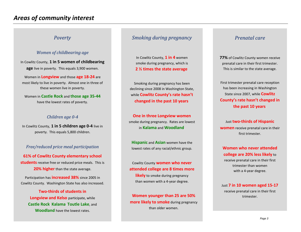#### *Poverty*

#### *Women of childbearing age*

In Cowlitz County, **1 in 5 women of childbearing age** live in poverty. This equals 3,900 women.

Women in **Longview** and those **age 18-24** are most likely to live in poverty. Almost one in three of these women live in poverty.

Women in **Castle Rock** and **those age 35-44** have the lowest rates of poverty.

#### *Children age 0-4*

In Cowlitz County, **1 in 5 children age 0-4** live in poverty. This equals 5,800 children.

#### *Free/reduced price meal participation*

**61% of Cowlitz County elementary school students** receive free or reduced price meals. This is **20% higher** than the state average.

Participation has **increased 38%** since 2005 in Cowlitz County. Washington State has also increased.

**Two-thirds of students in Longview and Kelso** participate, while **Castle Rock**, **Kalama**, **Toutle Lake**, and **Woodland** have the lowest rates.

#### *Smoking during pregnancy*

In Cowlitz County, **1 in 4** women smoke during pregnancy, which is **2 ½ times the state average**.

Smoking during pregnancy has been declining since 2008 in Washington State, while **Cowlitz County's rate hasn't changed in the past 10 years**.

**One in three Longview women** smoke during pregnancy. Rates are lowest in **Kalama** and **Woodland**.

**Hispanic** and **Asian** women have the lowest rates of any racial/ethnic group.

Cowlitz County **women who never attended college are 8 times more** 

**likely** to smoke during pregnancy than women with a 4-year degree.

**Women younger than 25 are 50% more likely to smoke** during pregnancy than older women.

#### *Prenatal care*

**77%** of Cowlitz County women receive prenatal care in their first trimester. This is similar to the state average.

First trimester prenatal care reception has been increasing in Washington State since 2007, while **Cowlitz County's rate hasn't changed in the past 10 years**.

Just **two-thirds of Hispanic women** receive prenatal care in their first trimester.

**Women who never attended college are 20% less likely** to receive prenatal care in their first trimester than women with a 4-year degree.

Just **7 in 10 women aged 15-17** receive prenatal care in their first trimester.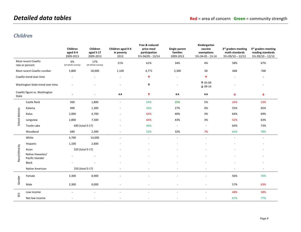### *Children*

|                                        |                                      | Children<br>aged 0-4<br>2009-2013 | Children<br>aged 5-17<br>2009-2013 | Children aged 0-4<br>in poverty<br>2013 | Free & reduced<br>price meal<br>participation<br>SYs 04/05 - 13/14 | Single parent<br>families<br>2009-2013 | Kindergarten<br>vaccine<br>exemptions<br>SYs 04-05 - 13-14 | 3rd graders meeting<br>math standards<br>SYs 09/10 - 12/13 | 3rd graders meeting<br>reading standards<br>SYs 09/10 - 12/13 |
|----------------------------------------|--------------------------------------|-----------------------------------|------------------------------------|-----------------------------------------|--------------------------------------------------------------------|----------------------------------------|------------------------------------------------------------|------------------------------------------------------------|---------------------------------------------------------------|
| Most recent Cowlitz<br>rate or percent |                                      | 6%<br>(of whole county)           | 17%<br>(of whole county)           | 21%                                     | 61%                                                                | 34%                                    | 4%                                                         | 58%                                                        | 67%                                                           |
| Most recent Cowlitz number             |                                      | 5,800                             | 18,000                             | 1,100                                   | 4,771                                                              | 3,300                                  | 58                                                         | 668                                                        | 768                                                           |
| Cowlitz trend over time                |                                      |                                   |                                    |                                         | 个                                                                  |                                        | 个                                                          |                                                            |                                                               |
| Washington State trend over time       |                                      |                                   |                                    |                                         | 个                                                                  | $\overline{a}$                         | 个 05-09<br>$\times 09 - 14$                                |                                                            |                                                               |
| Cowlitz figure vs. Washington<br>State |                                      |                                   |                                    | $\leftrightarrow$                       | 个                                                                  | $\leftrightarrow$                      | $\leftrightarrow$                                          | ↓                                                          | ↓                                                             |
| School districts                       | Castle Rock                          | 560                               | 1,800                              | $\overline{a}$                          | 54%                                                                | 25%                                    | 5%                                                         | 34%                                                        | 53%                                                           |
|                                        | Kalama                               | 490                               | 1,300                              |                                         | 42%                                                                | 27%                                    | 4%                                                         | 55%                                                        | 65%                                                           |
|                                        | Kelso                                | 2,000                             | 4,700                              |                                         | 62%                                                                | 40%                                    | 3%                                                         | 64%                                                        | 69%                                                           |
|                                        | Longview                             | 2,800                             | 7,500                              |                                         | 64%                                                                | 43%                                    | 3%                                                         | 52%                                                        | 63%                                                           |
|                                        | Toutle Lake                          | 690 (total 0-17)                  |                                    |                                         | 40%                                                                | $\overline{\phantom{a}}$               | $\bar{\phantom{a}}$                                        | 64%                                                        | 73%                                                           |
|                                        | Woodland                             | 680                               | 2,300                              |                                         | 53%                                                                | 32%                                    | 7%                                                         | 64%                                                        | 78%                                                           |
|                                        | White                                | 4,700                             | 14,000                             | $\overline{a}$                          | $\sim$                                                             | $\overline{a}$                         | $\overline{a}$                                             | $\sim$                                                     | $\omega$                                                      |
|                                        | Hispanic                             | 1,100                             | 2,600                              |                                         |                                                                    |                                        |                                                            |                                                            |                                                               |
|                                        | Asian                                | 320 (total 0-17)                  |                                    |                                         |                                                                    |                                        |                                                            |                                                            |                                                               |
| Race/ethnicity                         | Native Hawaiian/<br>Pacific Islander |                                   |                                    |                                         |                                                                    |                                        |                                                            |                                                            |                                                               |
|                                        | <b>Black</b>                         |                                   |                                    |                                         |                                                                    |                                        |                                                            |                                                            | ٠                                                             |
|                                        | Native American                      | 250 (total 0-17)                  |                                    |                                         |                                                                    |                                        | L,                                                         |                                                            | ٠                                                             |
| Gender                                 | Female                               | 3,300                             | 8,900                              |                                         |                                                                    |                                        |                                                            | 56%                                                        | 70%                                                           |
|                                        | Male                                 | 3,300                             | 9,000                              |                                         |                                                                    |                                        |                                                            | 57%                                                        | 63%                                                           |
| SES                                    | Low income                           | $\overline{a}$                    | $\sim$                             |                                         |                                                                    |                                        | $\overline{a}$                                             | 48%                                                        | 58%                                                           |
|                                        | Not low income                       |                                   |                                    |                                         |                                                                    |                                        |                                                            | 67%                                                        | 77%                                                           |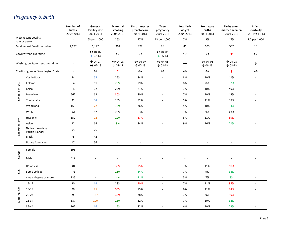## *Pregnancy & birth*

|                                        |                                      | Number of<br>births<br>2009-2013 | General<br>fertility rate<br>2004-2013    | Maternal<br>smoking<br>2004-2013          | <b>First trimester</b><br>prenatal care<br>2004-2013 | Teen<br>pregnancy<br>2004-2013                | Low birth<br>weight<br>2004-2013 | Premature<br>births<br>2004-2013          | Births to un-<br>married women<br>2004-2013 | Infant<br>mortality<br>02-04 to 11-13 |
|----------------------------------------|--------------------------------------|----------------------------------|-------------------------------------------|-------------------------------------------|------------------------------------------------------|-----------------------------------------------|----------------------------------|-------------------------------------------|---------------------------------------------|---------------------------------------|
| Most recent Cowlitz<br>rate or percent |                                      |                                  | 63 per 1,000                              | 26%                                       | 77%                                                  | 13 per 1,000                                  | 7%                               | 9%                                        | 47%                                         | 3.7 per 1,000                         |
| Most recent Cowlitz number             |                                      | 1,177                            | 1,177                                     | 302                                       | 872                                                  | 26                                            | 81                               | 103                                       | 552                                         | 13                                    |
| Cowlitz trend over time                |                                      |                                  | $\leftrightarrow$ 04-07<br>$\times$ 07-13 | $\leftrightarrow$                         | $\leftrightarrow$                                    | $\leftrightarrow$ 04-06<br>$\times$ 06-13     | $\leftrightarrow$                | $\leftrightarrow$                         | 个                                           | $\leftrightarrow$                     |
| Washington State trend over time       |                                      |                                  | 个 04-07<br>$\leftrightarrow$ 07-13        | $\leftrightarrow$ 04-08<br>$\times$ 08-13 | $\leftrightarrow$ 04-07<br>个 07-13                   | $\leftrightarrow$ 04-08<br>$\downarrow$ 08-13 | $\leftrightarrow$                | $\leftrightarrow$ 04-06<br>$\times$ 06-13 | 个 04-08<br>$\times$ 08-13                   | ↓                                     |
| Cowlitz figure vs. Washington State    |                                      | $\overline{\phantom{a}}$         | $\leftrightarrow$                         | 个                                         | $\leftrightarrow$                                    | $\leftrightarrow$                             | $\leftrightarrow$                | $\leftrightarrow$                         | 个                                           | $\leftrightarrow$                     |
|                                        | Castle Rock                          | 84                               | 55                                        | 25%                                       | 84%                                                  |                                               | 8%                               | 10%                                       | 41%                                         |                                       |
|                                        | Kalama                               | 64                               | 61                                        | 20%                                       | 79%                                                  |                                               | 8%                               | 8%                                        | 32%                                         |                                       |
| School districts                       | Kelso                                | 342                              | 62                                        | 29%                                       | 81%                                                  |                                               | 7%                               | 10%                                       | 49%                                         |                                       |
|                                        | Longview                             | 562                              | 68                                        | 30%                                       | 80%                                                  |                                               | 7%                               | 10%                                       | 49%                                         |                                       |
|                                        | Toutle Lake                          | 31                               | 54                                        | 18%                                       | 82%                                                  |                                               | 5%                               | 11%                                       | 38%                                         |                                       |
|                                        | Woodland                             | 159                              | 72                                        | 13%                                       | 76%                                                  |                                               | 5%                               | 10%                                       | 34%                                         |                                       |
|                                        | White                                | 961                              | 62                                        | 28%                                       | 83%                                                  |                                               | 7%                               | 9%                                        | 43%                                         |                                       |
|                                        | Hispanic                             | 159                              | 92                                        | 12%                                       | 67%                                                  |                                               | 8%                               | 11%                                       | 59%                                         |                                       |
| Race/ethnicity                         | Asian                                | 22                               | 64                                        | 9%                                        | 84%                                                  |                                               | 9%                               | 16%                                       | 21%                                         |                                       |
|                                        | Native Hawaiian/<br>Pacific Islander | $< 5$                            | 75                                        |                                           |                                                      |                                               |                                  |                                           |                                             |                                       |
|                                        | <b>Black</b>                         | $<$ 5                            | 42                                        |                                           |                                                      |                                               |                                  |                                           |                                             |                                       |
|                                        | Native American                      | 17                               | 56                                        |                                           | $\overline{a}$                                       |                                               | $\sim$                           | $\overline{a}$                            | $\overline{\phantom{a}}$                    |                                       |
| Gender                                 | Female                               | 598                              |                                           |                                           |                                                      |                                               |                                  |                                           |                                             |                                       |
|                                        | Male                                 | 612                              |                                           |                                           |                                                      |                                               |                                  |                                           |                                             |                                       |
| SES                                    | HS or less                           | 584                              |                                           | 36%                                       | 75%                                                  |                                               | 7%                               | 11%                                       | 60%                                         |                                       |
|                                        | Some college                         | 471                              |                                           | 21%                                       | 84%                                                  |                                               | $7%$                             | 9%                                        | 38%                                         |                                       |
|                                        | 4 year degree or more                | 135                              | $\sim$                                    | 4%                                        | 91%                                                  |                                               | 5%                               | 7%                                        | 8%                                          | $\overline{a}$                        |
| Maternal age                           | $15 - 17$                            | 30                               | 14                                        | 28%                                       | 70%                                                  | $\blacksquare$                                | 7%                               | 11%                                       | 95%                                         |                                       |
|                                        | 18-19                                | 96                               | 75                                        | 35%                                       | 75%                                                  |                                               | 6%                               | 11%                                       | 84%                                         |                                       |
|                                        | $20 - 24$                            | 393                              | 127                                       | 33%                                       | 78%                                                  |                                               | 7%                               | 9%                                        | 59%                                         |                                       |
|                                        | 25-34                                | 587                              | 100                                       | 23%                                       | 82%                                                  |                                               | $7%$                             | 10%                                       | 32%                                         |                                       |
|                                        | 35-44                                | 102                              | 16                                        | 15%                                       | 82%                                                  |                                               | 6%                               | 10%                                       | 23%                                         |                                       |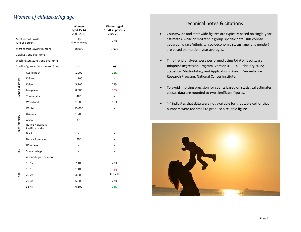#### *Women of childbearing age*

|                  |                                        | Women<br>aged 15-44<br>2009-2013 | Women aged<br>15-44 in poverty<br>2009-2013 |
|------------------|----------------------------------------|----------------------------------|---------------------------------------------|
|                  | Most recent Cowlitz<br>rate or percent | 17%<br>(of whole county)         | 22%                                         |
|                  | Most recent Cowlitz number             | 18,000                           | 3,900                                       |
|                  | Cowlitz trend over time                |                                  |                                             |
|                  | Washington State trend over time       |                                  |                                             |
|                  | Cowlitz figure vs. Washington State    |                                  | $\leftrightarrow$                           |
|                  | Castle Rock                            | 1,900                            | 11%                                         |
|                  | Kalama                                 | 1,100                            |                                             |
| School districts | Kelso                                  | 5,200                            | 24%                                         |
|                  | Longview                               | 8,000                            | 30%                                         |
|                  | <b>Toutle Lake</b>                     | 480                              |                                             |
|                  | Woodland                               | 1,800                            | 15%                                         |
|                  | White                                  | 15,000                           |                                             |
|                  | Hispanic                               | 1,700                            |                                             |
|                  | Asian                                  | 370                              |                                             |
| Race/ethnicity   | Native Hawaiian/<br>Pacific Islander   |                                  |                                             |
|                  | <b>Black</b>                           |                                  |                                             |
|                  | Native American                        | 200                              |                                             |
|                  | HS or less                             |                                  |                                             |
| SES              | Some college                           |                                  |                                             |
|                  | 4 year degree or more                  |                                  |                                             |
|                  | 15-17                                  | 2,100                            | 23%                                         |
|                  | 18-19                                  | 1,100                            | 31%                                         |
| Age              | 20-24                                  | 3,000                            | $(18-24)$                                   |
|                  | 25-34                                  | 5,600                            | 27%                                         |
|                  | 35-44                                  | 6,300                            | 16%                                         |

#### Technical notes & citations

- Countywide and statewide figures are typically based on single-year estimates, while demographic group-specific data (sub-county geography, race/ethnicity, socioeconomic status, age, and gender) are based on multiple-year averages.
- Time trend analyses were performed using JoinPoint software: Joinpoint Regression Program, Version 4.1.1.4 - February 2015; Statistical Methodology and Applications Branch, Surveillance Research Program, National Cancer Institute.
- To avoid implying precision for counts based on statistical estimates, census data are rounded to two significant figures.
- "-" indicates that data were not available for that table cell or that numbers were too small to produce a reliable figure.